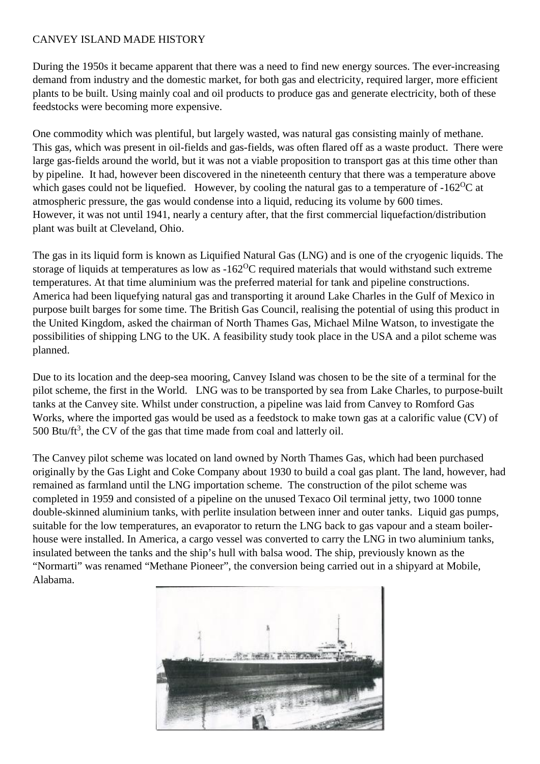## CANVEY ISLAND MADE HISTORY

During the 1950s it became apparent that there was a need to find new energy sources. The ever-increasing demand from industry and the domestic market, for both gas and electricity, required larger, more efficient plants to be built. Using mainly coal and oil products to produce gas and generate electricity, both of these feedstocks were becoming more expensive.

One commodity which was plentiful, but largely wasted, was natural gas consisting mainly of methane. This gas, which was present in oil-fields and gas-fields, was often flared off as a waste product. There were large gas-fields around the world, but it was not a viable proposition to transport gas at this time other than by pipeline. It had, however been discovered in the nineteenth century that there was a temperature above which gases could not be liquefied. However, by cooling the natural gas to a temperature of  $-162^{\circ}$ C at atmospheric pressure, the gas would condense into a liquid, reducing its volume by 600 times. However, it was not until 1941, nearly a century after, that the first commercial liquefaction/distribution plant was built at Cleveland, Ohio.

The gas in its liquid form is known as Liquified Natural Gas (LNG) and is one of the cryogenic liquids. The storage of liquids at temperatures as low as  $-162^{\circ}$ C required materials that would withstand such extreme temperatures. At that time aluminium was the preferred material for tank and pipeline constructions. America had been liquefying natural gas and transporting it around Lake Charles in the Gulf of Mexico in purpose built barges for some time. The British Gas Council, realising the potential of using this product in the United Kingdom, asked the chairman of North Thames Gas, Michael Milne Watson, to investigate the possibilities of shipping LNG to the UK. A feasibility study took place in the USA and a pilot scheme was planned.

Due to its location and the deep-sea mooring, Canvey Island was chosen to be the site of a terminal for the pilot scheme, the first in the World. LNG was to be transported by sea from Lake Charles, to purpose-built tanks at the Canvey site. Whilst under construction, a pipeline was laid from Canvey to Romford Gas Works, where the imported gas would be used as a feedstock to make town gas at a calorific value (CV) of  $500$  Btu/ft<sup>3</sup>, the CV of the gas that time made from coal and latterly oil.

The Canvey pilot scheme was located on land owned by North Thames Gas, which had been purchased originally by the Gas Light and Coke Company about 1930 to build a coal gas plant. The land, however, had remained as farmland until the LNG importation scheme. The construction of the pilot scheme was completed in 1959 and consisted of a pipeline on the unused Texaco Oil terminal jetty, two 1000 tonne double-skinned aluminium tanks, with perlite insulation between inner and outer tanks. Liquid gas pumps, suitable for the low temperatures, an evaporator to return the LNG back to gas vapour and a steam boilerhouse were installed. In America, a cargo vessel was converted to carry the LNG in two aluminium tanks, insulated between the tanks and the ship's hull with balsa wood. The ship, previously known as the "Normarti" was renamed "Methane Pioneer", the conversion being carried out in a shipyard at Mobile, Alabama.

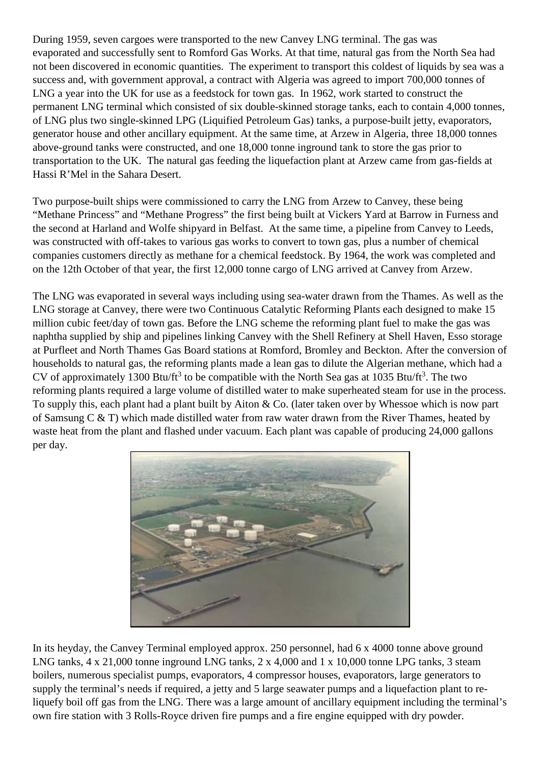During 1959, seven cargoes were transported to the new Canvey LNG terminal. The gas was evaporated and successfully sent to Romford Gas Works. At that time, natural gas from the North Sea had not been discovered in economic quantities. The experiment to transport this coldest of liquids by sea was a success and, with government approval, a contract with Algeria was agreed to import 700,000 tonnes of LNG a year into the UK for use as a feedstock for town gas. In 1962, work started to construct the permanent LNG terminal which consisted of six double-skinned storage tanks, each to contain 4,000 tonnes, of LNG plus two single-skinned LPG (Liquified Petroleum Gas) tanks, a purpose-built jetty, evaporators, generator house and other ancillary equipment. At the same time, at Arzew in Algeria, three 18,000 tonnes above-ground tanks were constructed, and one 18,000 tonne inground tank to store the gas prior to transportation to the UK. The natural gas feeding the liquefaction plant at Arzew came from gas-fields at Hassi R'Mel in the Sahara Desert.

Two purpose-built ships were commissioned to carry the LNG from Arzew to Canvey, these being "Methane Princess" and "Methane Progress" the first being built at Vickers Yard at Barrow in Furness and the second at Harland and Wolfe shipyard in Belfast. At the same time, a pipeline from Canvey to Leeds, was constructed with off-takes to various gas works to convert to town gas, plus a number of chemical companies customers directly as methane for a chemical feedstock. By 1964, the work was completed and on the 12th October of that year, the first 12,000 tonne cargo of LNG arrived at Canvey from Arzew.

The LNG was evaporated in several ways including using sea-water drawn from the Thames. As well as the LNG storage at Canvey, there were two Continuous Catalytic Reforming Plants each designed to make 15 million cubic feet/day of town gas. Before the LNG scheme the reforming plant fuel to make the gas was naphtha supplied by ship and pipelines linking Canvey with the Shell Refinery at Shell Haven, Esso storage at Purfleet and North Thames Gas Board stations at Romford, Bromley and Beckton. After the conversion of households to natural gas, the reforming plants made a lean gas to dilute the Algerian methane, which had a CV of approximately 1300 Btu/ft<sup>3</sup> to be compatible with the North Sea gas at 1035 Btu/ft<sup>3</sup>. The two reforming plants required a large volume of distilled water to make superheated steam for use in the process. To supply this, each plant had a plant built by Aiton & Co. (later taken over by Whessoe which is now part of Samsung C & T) which made distilled water from raw water drawn from the River Thames, heated by waste heat from the plant and flashed under vacuum. Each plant was capable of producing 24,000 gallons per day.



In its heyday, the Canvey Terminal employed approx. 250 personnel, had 6 x 4000 tonne above ground LNG tanks, 4 x 21,000 tonne inground LNG tanks, 2 x 4,000 and 1 x 10,000 tonne LPG tanks, 3 steam boilers, numerous specialist pumps, evaporators, 4 compressor houses, evaporators, large generators to supply the terminal's needs if required, a jetty and 5 large seawater pumps and a liquefaction plant to reliquefy boil off gas from the LNG. There was a large amount of ancillary equipment including the terminal's own fire station with 3 Rolls-Royce driven fire pumps and a fire engine equipped with dry powder.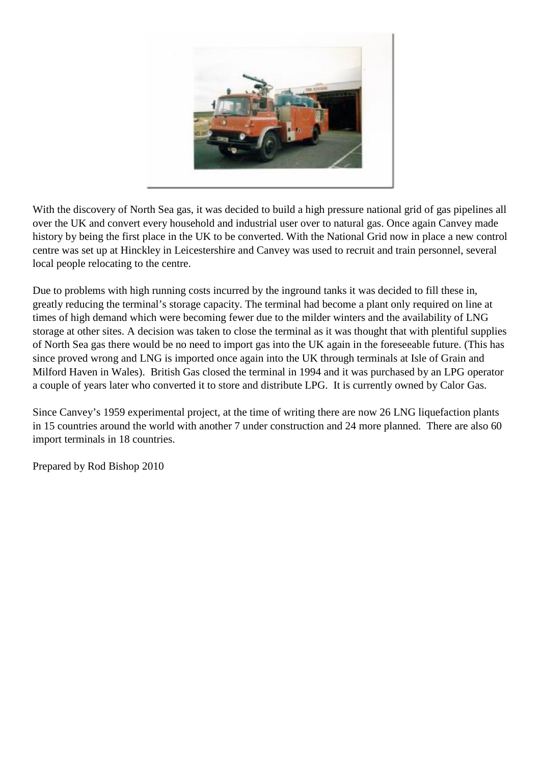

With the discovery of North Sea gas, it was decided to build a high pressure national grid of gas pipelines all over the UK and convert every household and industrial user over to natural gas. Once again Canvey made history by being the first place in the UK to be converted. With the National Grid now in place a new control centre was set up at Hinckley in Leicestershire and Canvey was used to recruit and train personnel, several local people relocating to the centre.

Due to problems with high running costs incurred by the inground tanks it was decided to fill these in, greatly reducing the terminal's storage capacity. The terminal had become a plant only required on line at times of high demand which were becoming fewer due to the milder winters and the availability of LNG storage at other sites. A decision was taken to close the terminal as it was thought that with plentiful supplies of North Sea gas there would be no need to import gas into the UK again in the foreseeable future. (This has since proved wrong and LNG is imported once again into the UK through terminals at Isle of Grain and Milford Haven in Wales). British Gas closed the terminal in 1994 and it was purchased by an LPG operator a couple of years later who converted it to store and distribute LPG. It is currently owned by Calor Gas.

Since Canvey's 1959 experimental project, at the time of writing there are now 26 LNG liquefaction plants in 15 countries around the world with another 7 under construction and 24 more planned. There are also 60 import terminals in 18 countries.

Prepared by Rod Bishop 2010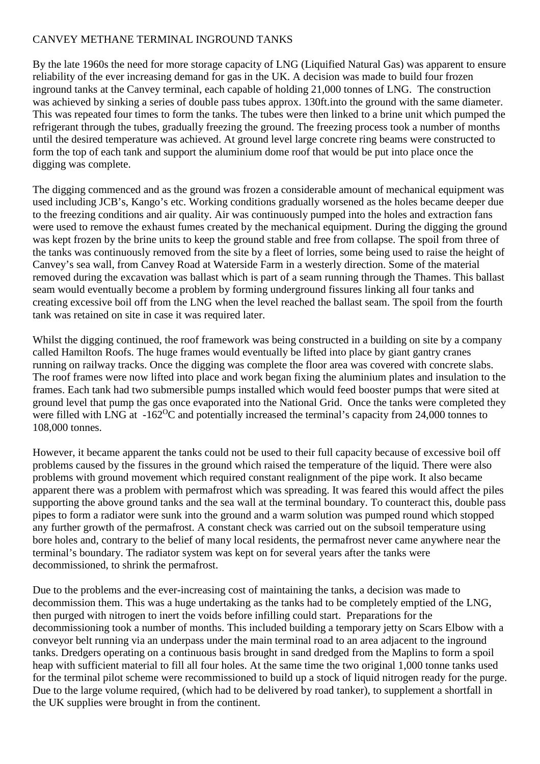## CANVEY METHANE TERMINAL INGROUND TANKS

By the late 1960s the need for more storage capacity of LNG (Liquified Natural Gas) was apparent to ensure reliability of the ever increasing demand for gas in the UK. A decision was made to build four frozen inground tanks at the Canvey terminal, each capable of holding 21,000 tonnes of LNG. The construction was achieved by sinking a series of double pass tubes approx. 130ft.into the ground with the same diameter. This was repeated four times to form the tanks. The tubes were then linked to a brine unit which pumped the refrigerant through the tubes, gradually freezing the ground. The freezing process took a number of months until the desired temperature was achieved. At ground level large concrete ring beams were constructed to form the top of each tank and support the aluminium dome roof that would be put into place once the digging was complete.

The digging commenced and as the ground was frozen a considerable amount of mechanical equipment was used including JCB's, Kango's etc. Working conditions gradually worsened as the holes became deeper due to the freezing conditions and air quality. Air was continuously pumped into the holes and extraction fans were used to remove the exhaust fumes created by the mechanical equipment. During the digging the ground was kept frozen by the brine units to keep the ground stable and free from collapse. The spoil from three of the tanks was continuously removed from the site by a fleet of lorries, some being used to raise the height of Canvey's sea wall, from Canvey Road at Waterside Farm in a westerly direction. Some of the material removed during the excavation was ballast which is part of a seam running through the Thames. This ballast seam would eventually become a problem by forming underground fissures linking all four tanks and creating excessive boil off from the LNG when the level reached the ballast seam. The spoil from the fourth tank was retained on site in case it was required later.

Whilst the digging continued, the roof framework was being constructed in a building on site by a company called Hamilton Roofs. The huge frames would eventually be lifted into place by giant gantry cranes running on railway tracks. Once the digging was complete the floor area was covered with concrete slabs. The roof frames were now lifted into place and work began fixing the aluminium plates and insulation to the frames. Each tank had two submersible pumps installed which would feed booster pumps that were sited at ground level that pump the gas once evaporated into the National Grid. Once the tanks were completed they were filled with LNG at  $-162^{\circ}$ C and potentially increased the terminal's capacity from 24,000 tonnes to 108,000 tonnes.

However, it became apparent the tanks could not be used to their full capacity because of excessive boil off problems caused by the fissures in the ground which raised the temperature of the liquid. There were also problems with ground movement which required constant realignment of the pipe work. It also became apparent there was a problem with permafrost which was spreading. It was feared this would affect the piles supporting the above ground tanks and the sea wall at the terminal boundary. To counteract this, double pass pipes to form a radiator were sunk into the ground and a warm solution was pumped round which stopped any further growth of the permafrost. A constant check was carried out on the subsoil temperature using bore holes and, contrary to the belief of many local residents, the permafrost never came anywhere near the terminal's boundary. The radiator system was kept on for several years after the tanks were decommissioned, to shrink the permafrost.

Due to the problems and the ever-increasing cost of maintaining the tanks, a decision was made to decommission them. This was a huge undertaking as the tanks had to be completely emptied of the LNG, then purged with nitrogen to inert the voids before infilling could start. Preparations for the decommissioning took a number of months. This included building a temporary jetty on Scars Elbow with a conveyor belt running via an underpass under the main terminal road to an area adjacent to the inground tanks. Dredgers operating on a continuous basis brought in sand dredged from the Maplins to form a spoil heap with sufficient material to fill all four holes. At the same time the two original 1,000 tonne tanks used for the terminal pilot scheme were recommissioned to build up a stock of liquid nitrogen ready for the purge. Due to the large volume required, (which had to be delivered by road tanker), to supplement a shortfall in the UK supplies were brought in from the continent.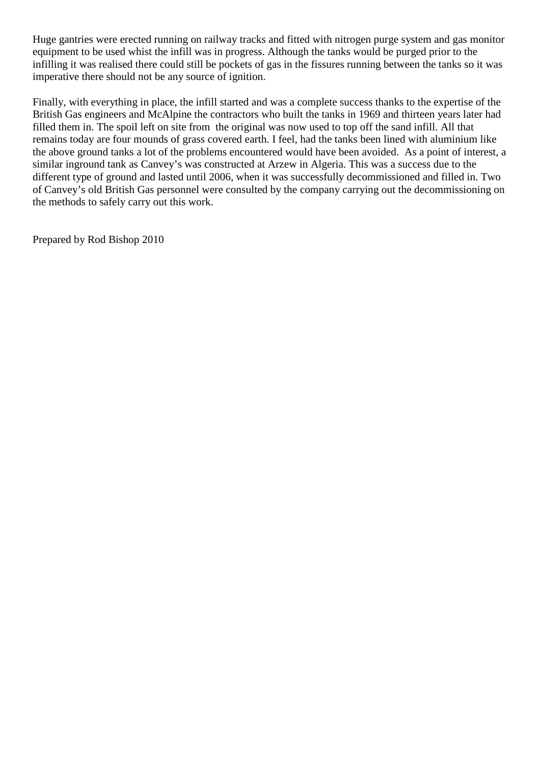Huge gantries were erected running on railway tracks and fitted with nitrogen purge system and gas monitor equipment to be used whist the infill was in progress. Although the tanks would be purged prior to the infilling it was realised there could still be pockets of gas in the fissures running between the tanks so it was imperative there should not be any source of ignition.

Finally, with everything in place, the infill started and was a complete success thanks to the expertise of the British Gas engineers and McAlpine the contractors who built the tanks in 1969 and thirteen years later had filled them in. The spoil left on site from the original was now used to top off the sand infill. All that remains today are four mounds of grass covered earth. I feel, had the tanks been lined with aluminium like the above ground tanks a lot of the problems encountered would have been avoided. As a point of interest, a similar inground tank as Canvey's was constructed at Arzew in Algeria. This was a success due to the different type of ground and lasted until 2006, when it was successfully decommissioned and filled in. Two of Canvey's old British Gas personnel were consulted by the company carrying out the decommissioning on the methods to safely carry out this work.

Prepared by Rod Bishop 2010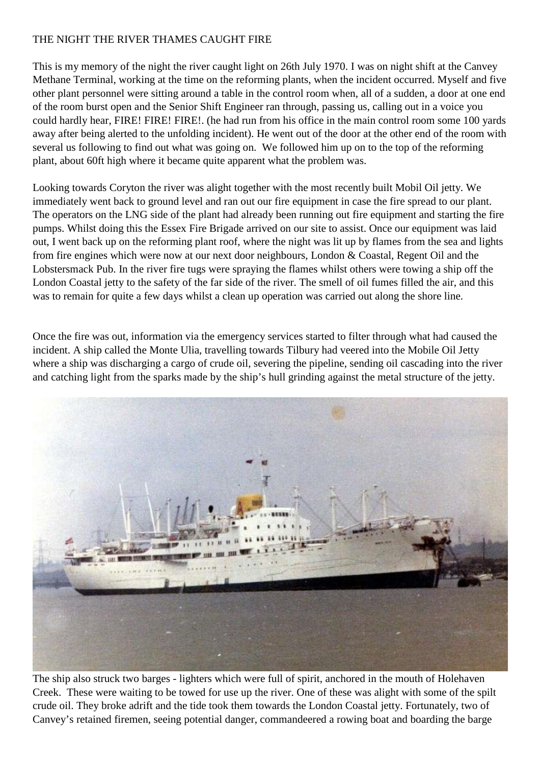## THE NIGHT THE RIVER THAMES CAUGHT FIRE

This is my memory of the night the river caught light on 26th July 1970. I was on night shift at the Canvey Methane Terminal, working at the time on the reforming plants, when the incident occurred. Myself and five other plant personnel were sitting around a table in the control room when, all of a sudden, a door at one end of the room burst open and the Senior Shift Engineer ran through, passing us, calling out in a voice you could hardly hear, FIRE! FIRE! FIRE!. (he had run from his office in the main control room some 100 yards away after being alerted to the unfolding incident). He went out of the door at the other end of the room with several us following to find out what was going on. We followed him up on to the top of the reforming plant, about 60ft high where it became quite apparent what the problem was.

Looking towards Coryton the river was alight together with the most recently built Mobil Oil jetty. We immediately went back to ground level and ran out our fire equipment in case the fire spread to our plant. The operators on the LNG side of the plant had already been running out fire equipment and starting the fire pumps. Whilst doing this the Essex Fire Brigade arrived on our site to assist. Once our equipment was laid out, I went back up on the reforming plant roof, where the night was lit up by flames from the sea and lights from fire engines which were now at our next door neighbours, London & Coastal, Regent Oil and the Lobstersmack Pub. In the river fire tugs were spraying the flames whilst others were towing a ship off the London Coastal jetty to the safety of the far side of the river. The smell of oil fumes filled the air, and this was to remain for quite a few days whilst a clean up operation was carried out along the shore line.

Once the fire was out, information via the emergency services started to filter through what had caused the incident. A ship called the Monte Ulia, travelling towards Tilbury had veered into the Mobile Oil Jetty where a ship was discharging a cargo of crude oil, severing the pipeline, sending oil cascading into the river and catching light from the sparks made by the ship's hull grinding against the metal structure of the jetty.



The ship also struck two barges - lighters which were full of spirit, anchored in the mouth of Holehaven Creek. These were waiting to be towed for use up the river. One of these was alight with some of the spilt crude oil. They broke adrift and the tide took them towards the London Coastal jetty. Fortunately, two of Canvey's retained firemen, seeing potential danger, commandeered a rowing boat and boarding the barge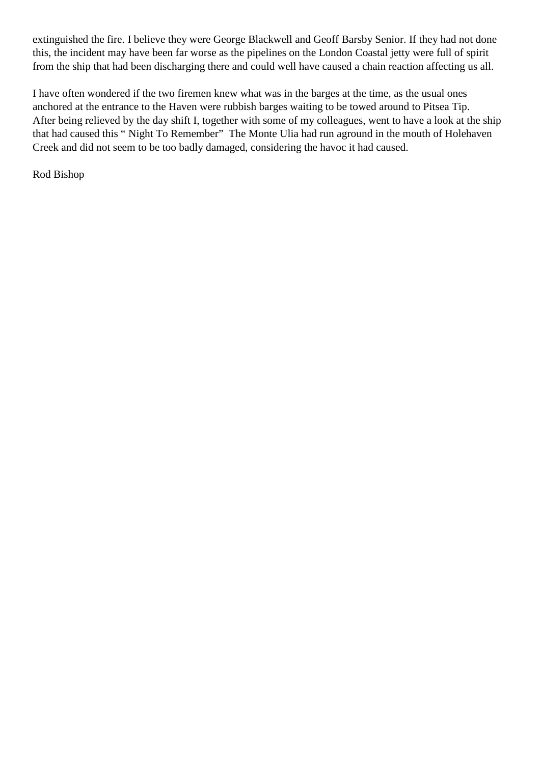extinguished the fire. I believe they were George Blackwell and Geoff Barsby Senior. If they had not done this, the incident may have been far worse as the pipelines on the London Coastal jetty were full of spirit from the ship that had been discharging there and could well have caused a chain reaction affecting us all.

I have often wondered if the two firemen knew what was in the barges at the time, as the usual ones anchored at the entrance to the Haven were rubbish barges waiting to be towed around to Pitsea Tip. After being relieved by the day shift I, together with some of my colleagues, went to have a look at the ship that had caused this " Night To Remember" The Monte Ulia had run aground in the mouth of Holehaven Creek and did not seem to be too badly damaged, considering the havoc it had caused.

Rod Bishop